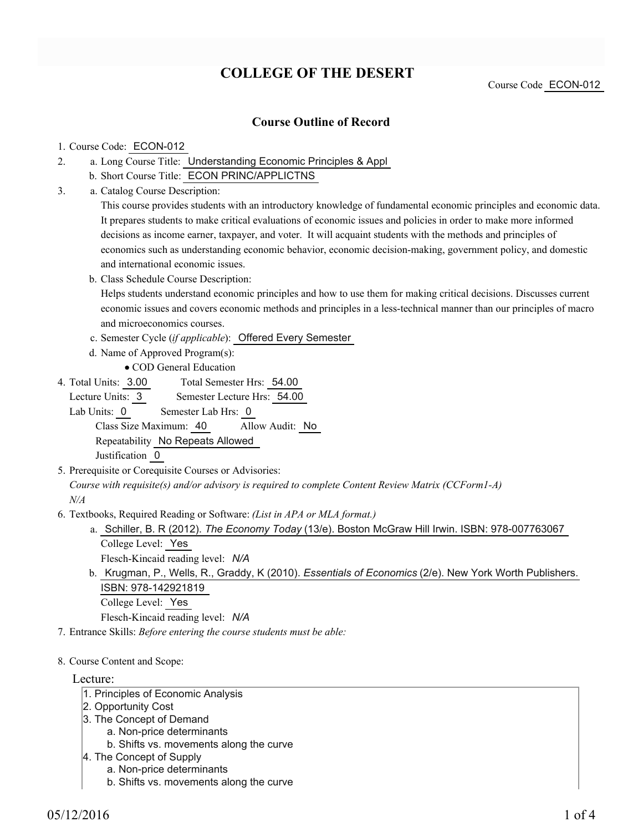# **COLLEGE OF THE DESERT**

Course Code ECON-012

### **Course Outline of Record**

#### 1. Course Code: ECON-012

- a. Long Course Title: Understanding Economic Principles & Appl 2.
	- b. Short Course Title: ECON PRINC/APPLICTNS
- Catalog Course Description: a. 3.

This course provides students with an introductory knowledge of fundamental economic principles and economic data. It prepares students to make critical evaluations of economic issues and policies in order to make more informed decisions as income earner, taxpayer, and voter. It will acquaint students with the methods and principles of economics such as understanding economic behavior, economic decision-making, government policy, and domestic and international economic issues.

b. Class Schedule Course Description:

Helps students understand economic principles and how to use them for making critical decisions. Discusses current economic issues and covers economic methods and principles in a less-technical manner than our principles of macro and microeconomics courses.

- c. Semester Cycle (*if applicable*): Offered Every Semester
- d. Name of Approved Program(s):
	- COD General Education
- Total Semester Hrs: 54.00 4. Total Units: 3.00

Lecture Units: 3 Semester Lecture Hrs: 54.00 Lab Units: 0 Semester Lab Hrs: 0 Class Size Maximum: 40 Allow Audit: No Repeatability No Repeats Allowed Justification 0

5. Prerequisite or Corequisite Courses or Advisories:

*Course with requisite(s) and/or advisory is required to complete Content Review Matrix (CCForm1-A) N/A*

- Textbooks, Required Reading or Software: *(List in APA or MLA format.)* 6.
	- a. Schiller, B. R (2012). *The Economy Today* (13/e). Boston McGraw Hill Irwin. ISBN: 978-007763067 College Level: Yes

Flesch-Kincaid reading level: *N/A*

b. Krugman, P., Wells, R., Graddy, K (2010). *Essentials of Economics* (2/e). New York Worth Publishers. ISBN: 978-142921819 College Level: Yes

Flesch-Kincaid reading level: *N/A*

- 7. Entrance Skills: *Before entering the course students must be able:*
- 8. Course Content and Scope:

#### Lecture:

- 1. Principles of Economic Analysis
- 2. Opportunity Cost
- 3. The Concept of Demand
	- a. Non-price determinants
	- b. Shifts vs. movements along the curve
- 4. The Concept of Supply
	- a. Non-price determinants
	- b. Shifts vs. movements along the curve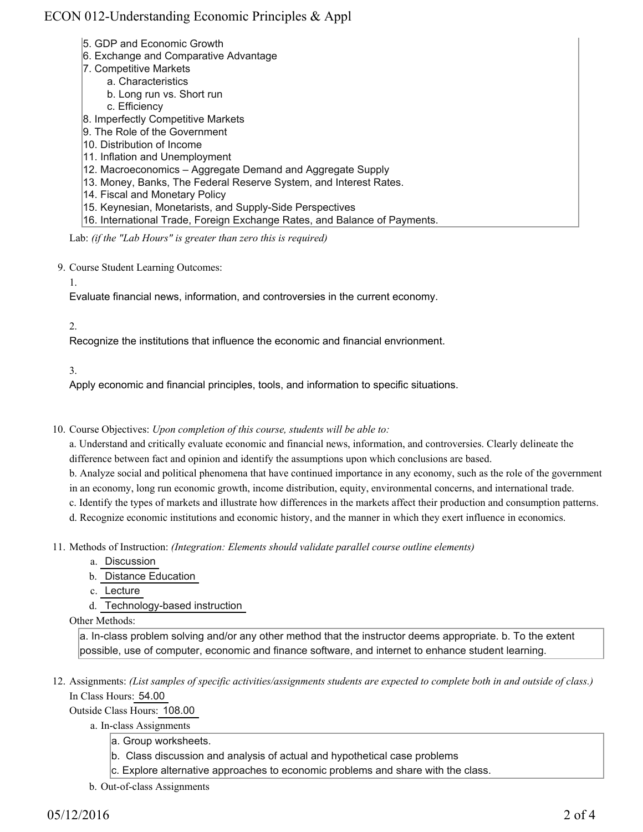## ECON 012-Understanding Economic Principles & Appl

- 5. GDP and Economic Growth
- 6. Exchange and Comparative Advantage
- 7. Competitive Markets
	- a. Characteristics
		- b. Long run vs. Short run
		- c. Efficiency
- 8. Imperfectly Competitive Markets
- 9. The Role of the Government
- 10. Distribution of Income
- 11. Inflation and Unemployment
- 12. Macroeconomics Aggregate Demand and Aggregate Supply
- 13. Money, Banks, The Federal Reserve System, and Interest Rates.
- 14. Fiscal and Monetary Policy
- 15. Keynesian, Monetarists, and Supply-Side Perspectives
- 16. International Trade, Foreign Exchange Rates, and Balance of Payments.

Lab: *(if the "Lab Hours" is greater than zero this is required)*

9. Course Student Learning Outcomes:

1.

Evaluate financial news, information, and controversies in the current economy.

2.

Recognize the institutions that influence the economic and financial envrionment.

3.

Apply economic and financial principles, tools, and information to specific situations.

### 10. Course Objectives: Upon completion of this course, students will be able to:

a. Understand and critically evaluate economic and financial news, information, and controversies. Clearly delineate the difference between fact and opinion and identify the assumptions upon which conclusions are based.

b. Analyze social and political phenomena that have continued importance in any economy, such as the role of the government in an economy, long run economic growth, income distribution, equity, environmental concerns, and international trade.

c. Identify the types of markets and illustrate how differences in the markets affect their production and consumption patterns. d. Recognize economic institutions and economic history, and the manner in which they exert influence in economics.

- Methods of Instruction: *(Integration: Elements should validate parallel course outline elements)* 11.
	- a. Discussion
	- b. Distance Education
	- c. Lecture
	- d. Technology-based instruction

Other Methods:

a. In-class problem solving and/or any other method that the instructor deems appropriate. b. To the extent possible, use of computer, economic and finance software, and internet to enhance student learning.

12. Assignments: (List samples of specific activities/assignments students are expected to complete both in and outside of class.) In Class Hours: 54.00

Outside Class Hours: 108.00

- a. In-class Assignments
	- a. Group worksheets.
	- b. Class discussion and analysis of actual and hypothetical case problems
	- c. Explore alternative approaches to economic problems and share with the class.
- b. Out-of-class Assignments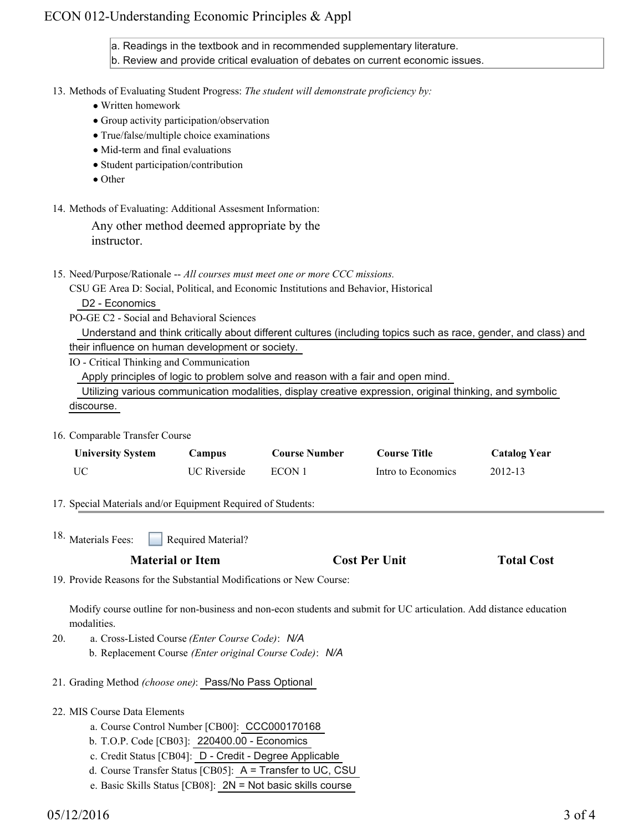### ECON 012-Understanding Economic Principles & Appl

a. Readings in the textbook and in recommended supplementary literature.

b. Review and provide critical evaluation of debates on current economic issues.

#### 13. Methods of Evaluating Student Progress: The student will demonstrate proficiency by:

- Written homework
- Group activity participation/observation
- True/false/multiple choice examinations
- Mid-term and final evaluations
- Student participation/contribution
- Other
- 14. Methods of Evaluating: Additional Assesment Information:

Any other method deemed appropriate by the instructor.

15. Need/Purpose/Rationale -- All courses must meet one or more CCC missions.

CSU GE Area D: Social, Political, and Economic Institutions and Behavior, Historical

D2 - Economics

PO-GE C2 - Social and Behavioral Sciences

 Understand and think critically about different cultures (including topics such as race, gender, and class) and their influence on human development or society.

IO - Critical Thinking and Communication

Apply principles of logic to problem solve and reason with a fair and open mind.

 Utilizing various communication modalities, display creative expression, original thinking, and symbolic discourse.

16. Comparable Transfer Course

| <b>University System</b> | Campus              | <b>Course Number</b> | <b>Course Title</b> | <b>Catalog Year</b> |
|--------------------------|---------------------|----------------------|---------------------|---------------------|
| UC                       | <b>UC</b> Riverside | ECON 1               | Intro to Economics  | 2012-13             |

17. Special Materials and/or Equipment Required of Students:

Required Material? <sup>18.</sup> Materials Fees:

### **Material or Item Cost Per Unit Total Cost**

19. Provide Reasons for the Substantial Modifications or New Course:

Modify course outline for non-business and non-econ students and submit for UC articulation. Add distance education modalities.

- a. Cross-Listed Course *(Enter Course Code)*: *N/A* b. Replacement Course *(Enter original Course Code)*: *N/A* 20.
- 21. Grading Method *(choose one)*: Pass/No Pass Optional
- MIS Course Data Elements 22.
	- a. Course Control Number [CB00]: CCC000170168
	- b. T.O.P. Code [CB03]: 220400.00 Economics
	- c. Credit Status [CB04]: D Credit Degree Applicable
	- d. Course Transfer Status [CB05]: A = Transfer to UC, CSU
	- e. Basic Skills Status [CB08]: 2N = Not basic skills course